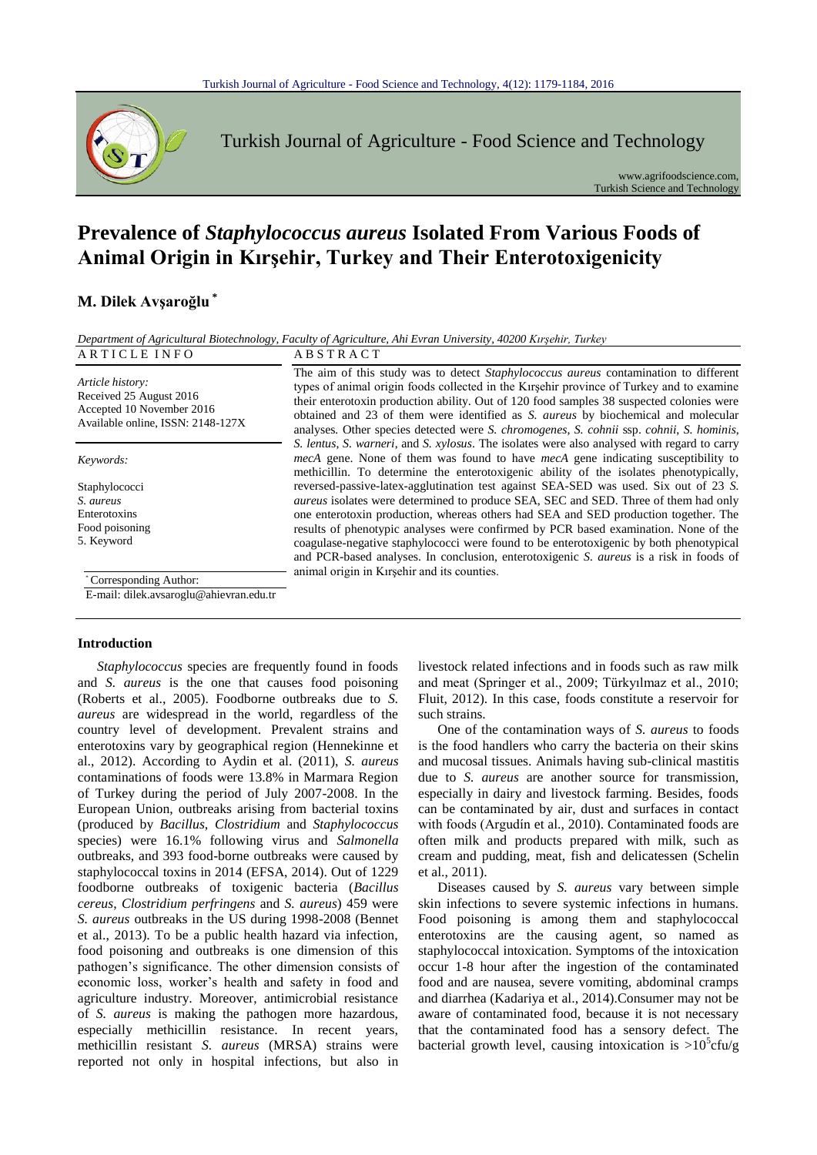

Turkish Journal of Agriculture - Food Science and Technology

www.agrifoodscience.com, Turkish Science and Technology

# **Prevalence of** *Staphylococcus aureus* **Isolated From Various Foods of Animal Origin in Kırşehir, Turkey and Their Enterotoxigenicity**

# **M. Dilek Avşaroğlu \***

*Department of Agricultural Biotechnology, Faculty of Agriculture, Ahi Evran University, 40200 Kırşehir, Turkey* ARTICLE INFO<br>ABSTRACT

*Article history:* Received 25 August 2016 Accepted 10 November 2016 Available online, ISSN: 2148-127X

*Keywords:*

Staphylococci *S. aureus* Enterotoxins Food poisoning 5. Keyword

\* Corresponding Author:

E-mail: dilek.avsaroglu@ahievran.edu.tr

#### **Introduction**

*Staphylococcus* species are frequently found in foods and *S. aureus* is the one that causes food poisoning (Roberts et al., 2005). Foodborne outbreaks due to *S. aureus* are widespread in the world, regardless of the country level of development. Prevalent strains and enterotoxins vary by geographical region (Hennekinne et al., 2012). According to Aydin et al. (2011), *S. aureus*  contaminations of foods were 13.8% in Marmara Region of Turkey during the period of July 2007-2008. In the European Union, outbreaks arising from bacterial toxins (produced by *Bacillus*, *Clostridium* and *Staphylococcus* species) were 16.1% following virus and *Salmonella*  outbreaks, and 393 food-borne outbreaks were caused by staphylococcal toxins in 2014 (EFSA, 2014). Out of 1229 foodborne outbreaks of toxigenic bacteria (*Bacillus cereus*, *Clostridium perfringens* and *S. aureus*) 459 were *S. aureus* outbreaks in the US during 1998-2008 (Bennet et al., 2013). To be a public health hazard via infection, food poisoning and outbreaks is one dimension of this pathogen's significance. The other dimension consists of economic loss, worker's health and safety in food and agriculture industry. Moreover, antimicrobial resistance of *S. aureus* is making the pathogen more hazardous, especially methicillin resistance. In recent years, methicillin resistant *S. aureus* (MRSA) strains were reported not only in hospital infections, but also in

The aim of this study was to detect *Staphylococcus aureus* contamination to different types of animal origin foods collected in the Kırşehir province of Turkey and to examine their enterotoxin production ability. Out of 120 food samples 38 suspected colonies were obtained and 23 of them were identified as *S. aureus* by biochemical and molecular analyses*.* Other species detected were *S. chromogenes*, *S. cohnii* ssp. *cohnii*, *S. hominis*, *S. lentus*, *S. warneri*, and *S. xylosus*. The isolates were also analysed with regard to carry *mecA* gene. None of them was found to have *mecA* gene indicating susceptibility to methicillin. To determine the enterotoxigenic ability of the isolates phenotypically, reversed-passive-latex-agglutination test against SEA-SED was used. Six out of 23 *S. aureus* isolates were determined to produce SEA, SEC and SED. Three of them had only one enterotoxin production, whereas others had SEA and SED production together. The results of phenotypic analyses were confirmed by PCR based examination. None of the coagulase-negative staphylococci were found to be enterotoxigenic by both phenotypical and PCR-based analyses. In conclusion, enterotoxigenic *S. aureus* is a risk in foods of animal origin in Kırşehir and its counties.

> livestock related infections and in foods such as raw milk and meat (Springer et al., 2009; Türkyılmaz et al., 2010; Fluit, 2012). In this case, foods constitute a reservoir for such strains.

> One of the contamination ways of *S. aureus* to foods is the food handlers who carry the bacteria on their skins and mucosal tissues. Animals having sub-clinical mastitis due to *S. aureus* are another source for transmission, especially in dairy and livestock farming. Besides, foods can be contaminated by air, dust and surfaces in contact with foods (Argudín et al., 2010). Contaminated foods are often milk and products prepared with milk, such as cream and pudding, meat, fish and delicatessen (Schelin et al., 2011).

> Diseases caused by *S. aureus* vary between simple skin infections to severe systemic infections in humans. Food poisoning is among them and staphylococcal enterotoxins are the causing agent, so named as staphylococcal intoxication. Symptoms of the intoxication occur 1-8 hour after the ingestion of the contaminated food and are nausea, severe vomiting, abdominal cramps and diarrhea (Kadariya et al., 2014).Consumer may not be aware of contaminated food, because it is not necessary that the contaminated food has a sensory defect. The bacterial growth level, causing intoxication is  $>10^5$ cfu/g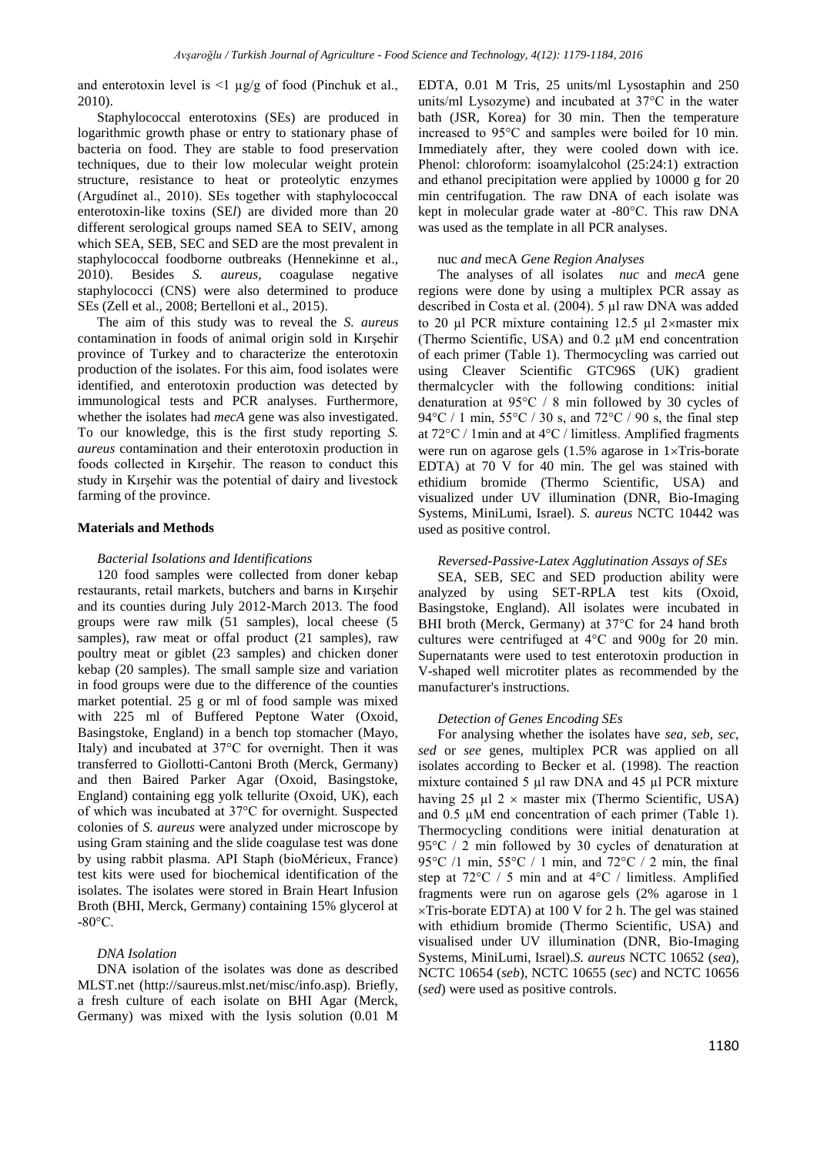and enterotoxin level is  $\leq 1$  µg/g of food (Pinchuk et al., 2010).

Staphylococcal enterotoxins (SEs) are produced in logarithmic growth phase or entry to stationary phase of bacteria on food. They are stable to food preservation techniques, due to their low molecular weight protein structure, resistance to heat or proteolytic enzymes (Argudínet al., 2010). SEs together with staphylococcal enterotoxin-like toxins (SE*l*) are divided more than 20 different serological groups named SEA to SEIV, among which SEA, SEB, SEC and SED are the most prevalent in staphylococcal foodborne outbreaks (Hennekinne et al., 2010). Besides *S. aureus*, coagulase negative staphylococci (CNS) were also determined to produce SEs (Zell et al., 2008; Bertelloni et al., 2015).

The aim of this study was to reveal the *S. aureus*  contamination in foods of animal origin sold in Kırşehir province of Turkey and to characterize the enterotoxin production of the isolates. For this aim, food isolates were identified, and enterotoxin production was detected by immunological tests and PCR analyses. Furthermore, whether the isolates had *mecA* gene was also investigated. To our knowledge, this is the first study reporting *S. aureus* contamination and their enterotoxin production in foods collected in Kırşehir. The reason to conduct this study in Kırşehir was the potential of dairy and livestock farming of the province.

#### **Materials and Methods**

#### *Bacterial Isolations and Identifications*

120 food samples were collected from doner kebap restaurants, retail markets, butchers and barns in Kırşehir and its counties during July 2012-March 2013. The food groups were raw milk (51 samples), local cheese (5 samples), raw meat or offal product (21 samples), raw poultry meat or giblet (23 samples) and chicken doner kebap (20 samples). The small sample size and variation in food groups were due to the difference of the counties market potential. 25 g or ml of food sample was mixed with 225 ml of Buffered Peptone Water (Oxoid, Basingstoke, England) in a bench top stomacher (Mayo, Italy) and incubated at 37°C for overnight. Then it was transferred to Giollotti-Cantoni Broth (Merck, Germany) and then Baired Parker Agar (Oxoid, Basingstoke, England) containing egg yolk tellurite (Oxoid, UK), each of which was incubated at 37°C for overnight. Suspected colonies of *S. aureus* were analyzed under microscope by using Gram staining and the slide coagulase test was done by using rabbit plasma. API Staph (bioMérieux, France) test kits were used for biochemical identification of the isolates. The isolates were stored in Brain Heart Infusion Broth (BHI, Merck, Germany) containing 15% glycerol at  $-80^{\circ}$ C.

### *DNA Isolation*

DNA isolation of the isolates was done as described MLST.net (http://saureus.mlst.net/misc/info.asp). Briefly, a fresh culture of each isolate on BHI Agar (Merck, Germany) was mixed with the lysis solution (0.01 M EDTA, 0.01 M Tris, 25 units/ml Lysostaphin and 250 units/ml Lysozyme) and incubated at 37°C in the water bath (JSR, Korea) for 30 min. Then the temperature increased to 95°C and samples were boiled for 10 min. Immediately after, they were cooled down with ice. Phenol: chloroform: isoamylalcohol (25:24:1) extraction and ethanol precipitation were applied by 10000 g for 20 min centrifugation. The raw DNA of each isolate was kept in molecular grade water at -80°C. This raw DNA was used as the template in all PCR analyses.

#### nuc *and* mecA *Gene Region Analyses*

The analyses of all isolates *nuc* and *mecA* gene regions were done by using a multiplex PCR assay as described in Costa et al. (2004). 5 µl raw DNA was added to 20  $\mu$ l PCR mixture containing 12.5  $\mu$ l 2×master mix (Thermo Scientific, USA) and 0.2 µM end concentration of each primer (Table 1). Thermocycling was carried out using Cleaver Scientific GTC96S (UK) gradient thermalcycler with the following conditions: initial denaturation at 95°C / 8 min followed by 30 cycles of 94 °C / 1 min, 55 °C / 30 s, and 72 °C / 90 s, the final step at 72°C / 1min and at 4°C / limitless. Amplified fragments were run on agarose gels  $(1.5\%$  agarose in 1×Tris-borate EDTA) at 70 V for 40 min. The gel was stained with ethidium bromide (Thermo Scientific, USA) and visualized under UV illumination (DNR, Bio-Imaging Systems, MiniLumi, Israel). *S. aureus* NCTC 10442 was used as positive control.

#### *Reversed-Passive-Latex Agglutination Assays of SEs*

SEA, SEB, SEC and SED production ability were analyzed by using SET-RPLA test kits (Oxoid, Basingstoke, England). All isolates were incubated in BHI broth (Merck, Germany) at 37°C for 24 hand broth cultures were centrifuged at 4°C and 900g for 20 min. Supernatants were used to test enterotoxin production in V-shaped well microtiter plates as recommended by the manufacturer's instructions.

#### *Detection of Genes Encoding SEs*

For analysing whether the isolates have *sea*, *seb*, *sec*, *sed* or *see* genes, multiplex PCR was applied on all isolates according to Becker et al. (1998). The reaction mixture contained 5 µl raw DNA and 45 µl PCR mixture having 25  $\mu$ l 2 × master mix (Thermo Scientific, USA) and 0.5 µM end concentration of each primer (Table 1). Thermocycling conditions were initial denaturation at 95°C / 2 min followed by 30 cycles of denaturation at 95 $\rm{°C}$  /1 min, 55 $\rm{°C}$  / 1 min, and 72 $\rm{°C}$  / 2 min, the final step at 72°C / 5 min and at 4°C / limitless. Amplified fragments were run on agarose gels (2% agarose in 1  $\times$ Tris-borate EDTA) at 100 V for 2 h. The gel was stained with ethidium bromide (Thermo Scientific, USA) and visualised under UV illumination (DNR, Bio-Imaging Systems, MiniLumi, Israel).*S. aureus* NCTC 10652 (*sea*), NCTC 10654 (*seb*), NCTC 10655 (*sec*) and NCTC 10656 (*sed*) were used as positive controls.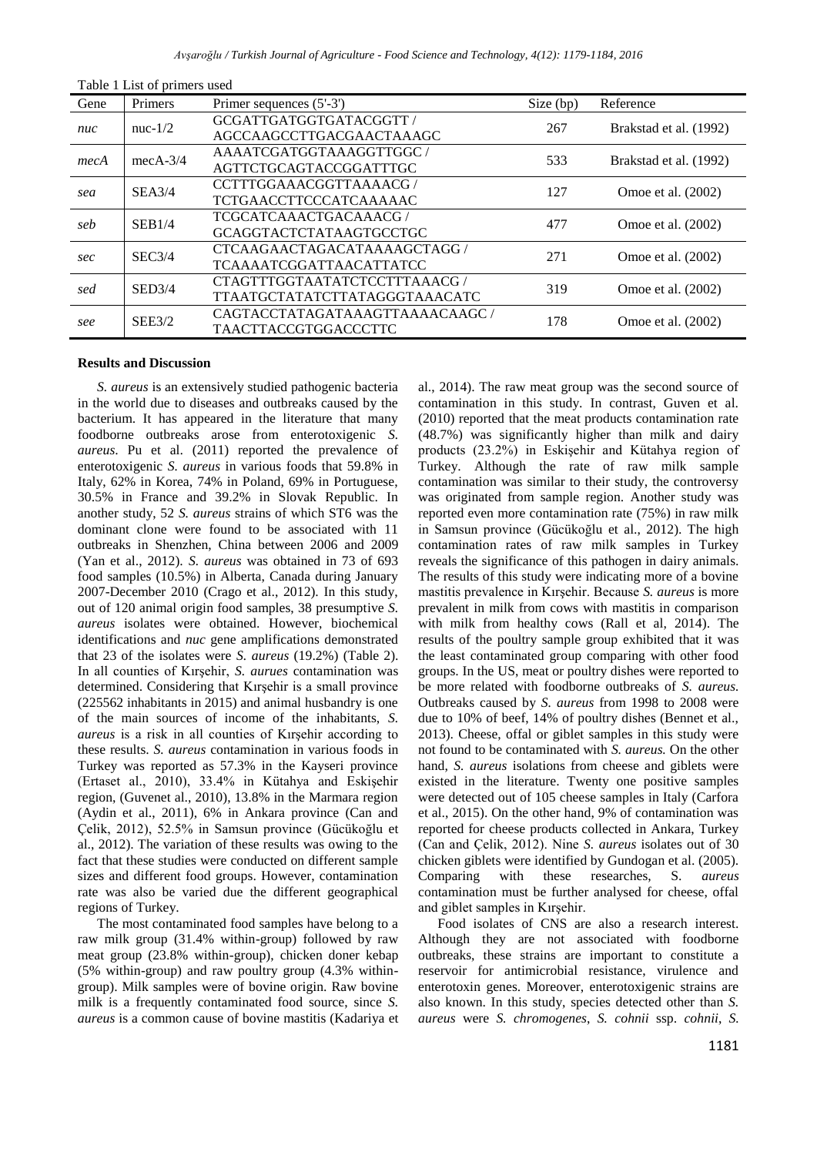|      | Table I List of primers used |                                |           |                        |  |
|------|------------------------------|--------------------------------|-----------|------------------------|--|
| Gene | Primers                      | Primer sequences (5'-3')       | Size (bp) | Reference              |  |
| nuc  | $nuc-1/2$                    | GCGATTGATGGTGATACGGTT /        | 267       | Brakstad et al. (1992) |  |
|      |                              | AGCCAAGCCTTGACGAACTAAAGC       |           |                        |  |
| mecA | $mecA-3/4$                   | AAAATCGATGGTAAAGGTTGGC/        |           | Brakstad et al. (1992) |  |
|      |                              | AGTTCTGCAGTACCGGATTTGC         | 533       |                        |  |
| sea  | SEA3/4                       | CCTTTGGAAACGGTTAAAACG/         |           | Omoe et al. (2002)     |  |
|      |                              | <b>TCTGAACCTTCCCATCAAAAAC</b>  | 127       |                        |  |
| seb  | SEB1/4                       | TCGCATCAAACTGACAAACG/          |           |                        |  |
|      |                              | GCAGGTACTCTATAAGTGCCTGC        | 477       | Omoe et al. (2002)     |  |
| sec  | SEC3/4                       | CTCAAGAACTAGACATAAAAGCTAGG /   |           | Omoe et al. (2002)     |  |
|      |                              | TCAAAATCGGATTAACATTATCC        | 271       |                        |  |
| sed  | SED3/4                       | CTAGTTTGGTAATATCTCCTTTAAACG/   | 319       |                        |  |
|      |                              | TTAATGCTATATCTTATAGGGTAAACATC  |           | Omoe et al. (2002)     |  |
| see  | SEE3/2                       | CAGTACCTATAGATAAAGTTAAAACAAGC/ |           | Omoe et al. (2002)     |  |
|      |                              | <b>TAACTTACCGTGGACCCTTC</b>    | 178       |                        |  |
|      |                              |                                |           |                        |  |

 $T$  . 1 1  $\leq$  1  $\leq$  1  $\leq$  1  $\leq$  1  $\leq$  1  $\leq$  1  $\leq$  1  $\leq$  1  $\leq$  1  $\leq$  1  $\leq$  1  $\leq$  1  $\leq$  1  $\leq$  1  $\leq$  1  $\leq$  1  $\leq$  1  $\leq$  1  $\leq$  1  $\leq$  1  $\leq$  1  $\leq$  1  $\leq$  1  $\leq$  1  $\leq$  1  $\leq$  1  $\le$ 

## **Results and Discussion**

*S. aureus* is an extensively studied pathogenic bacteria in the world due to diseases and outbreaks caused by the bacterium. It has appeared in the literature that many foodborne outbreaks arose from enterotoxigenic *S. aureus*. Pu et al. (2011) reported the prevalence of enterotoxigenic *S. aureus* in various foods that 59.8% in Italy, 62% in Korea, 74% in Poland, 69% in Portuguese, 30.5% in France and 39.2% in Slovak Republic. In another study, 52 *S. aureus* strains of which ST6 was the dominant clone were found to be associated with 11 outbreaks in Shenzhen, China between 2006 and 2009 (Yan et al., 2012). *S. aureus* was obtained in 73 of 693 food samples (10.5%) in Alberta, Canada during January 2007-December 2010 (Crago et al., 2012). In this study, out of 120 animal origin food samples, 38 presumptive *S. aureus* isolates were obtained. However, biochemical identifications and *nuc* gene amplifications demonstrated that 23 of the isolates were *S. aureus* (19.2%) (Table 2). In all counties of Kırşehir, *S. aurues* contamination was determined. Considering that Kırşehir is a small province (225562 inhabitants in 2015) and animal husbandry is one of the main sources of income of the inhabitants, *S. aureus* is a risk in all counties of Kırşehir according to these results. *S. aureus* contamination in various foods in Turkey was reported as 57.3% in the Kayseri province (Ertaset al., 2010), 33.4% in Kütahya and Eskişehir region, (Guvenet al., 2010), 13.8% in the Marmara region (Aydin et al., 2011), 6% in Ankara province (Can and Çelik, 2012), 52.5% in Samsun province (Gücükoğlu et al., 2012). The variation of these results was owing to the fact that these studies were conducted on different sample sizes and different food groups. However, contamination rate was also be varied due the different geographical regions of Turkey.

The most contaminated food samples have belong to a raw milk group (31.4% within-group) followed by raw meat group (23.8% within-group), chicken doner kebap (5% within-group) and raw poultry group (4.3% withingroup). Milk samples were of bovine origin. Raw bovine milk is a frequently contaminated food source, since *S. aureus* is a common cause of bovine mastitis (Kadariya et al., 2014). The raw meat group was the second source of contamination in this study. In contrast, Guven et al. (2010) reported that the meat products contamination rate (48.7%) was significantly higher than milk and dairy products (23.2%) in Eskişehir and Kütahya region of Turkey. Although the rate of raw milk sample contamination was similar to their study, the controversy was originated from sample region. Another study was reported even more contamination rate (75%) in raw milk in Samsun province (Gücükoğlu et al., 2012). The high contamination rates of raw milk samples in Turkey reveals the significance of this pathogen in dairy animals. The results of this study were indicating more of a bovine mastitis prevalence in Kırşehir. Because *S. aureus* is more prevalent in milk from cows with mastitis in comparison with milk from healthy cows (Rall et al, 2014). The results of the poultry sample group exhibited that it was the least contaminated group comparing with other food groups. In the US, meat or poultry dishes were reported to be more related with foodborne outbreaks of *S. aureus.* Outbreaks caused by *S. aureus* from 1998 to 2008 were due to 10% of beef, 14% of poultry dishes (Bennet et al., 2013). Cheese, offal or giblet samples in this study were not found to be contaminated with *S. aureus.* On the other hand, *S. aureus* isolations from cheese and giblets were existed in the literature. Twenty one positive samples were detected out of 105 cheese samples in Italy (Carfora et al., 2015). On the other hand, 9% of contamination was reported for cheese products collected in Ankara, Turkey (Can and Çelik, 2012). Nine *S. aureus* isolates out of 30 chicken giblets were identified by Gundogan et al. (2005). Comparing with these researches, S. *aureus* contamination must be further analysed for cheese, offal and giblet samples in Kırşehir.

Food isolates of CNS are also a research interest. Although they are not associated with foodborne outbreaks, these strains are important to constitute a reservoir for antimicrobial resistance, virulence and enterotoxin genes. Moreover, enterotoxigenic strains are also known. In this study, species detected other than *S. aureus* were *S. chromogenes*, *S. cohnii* ssp. *cohnii*, *S.*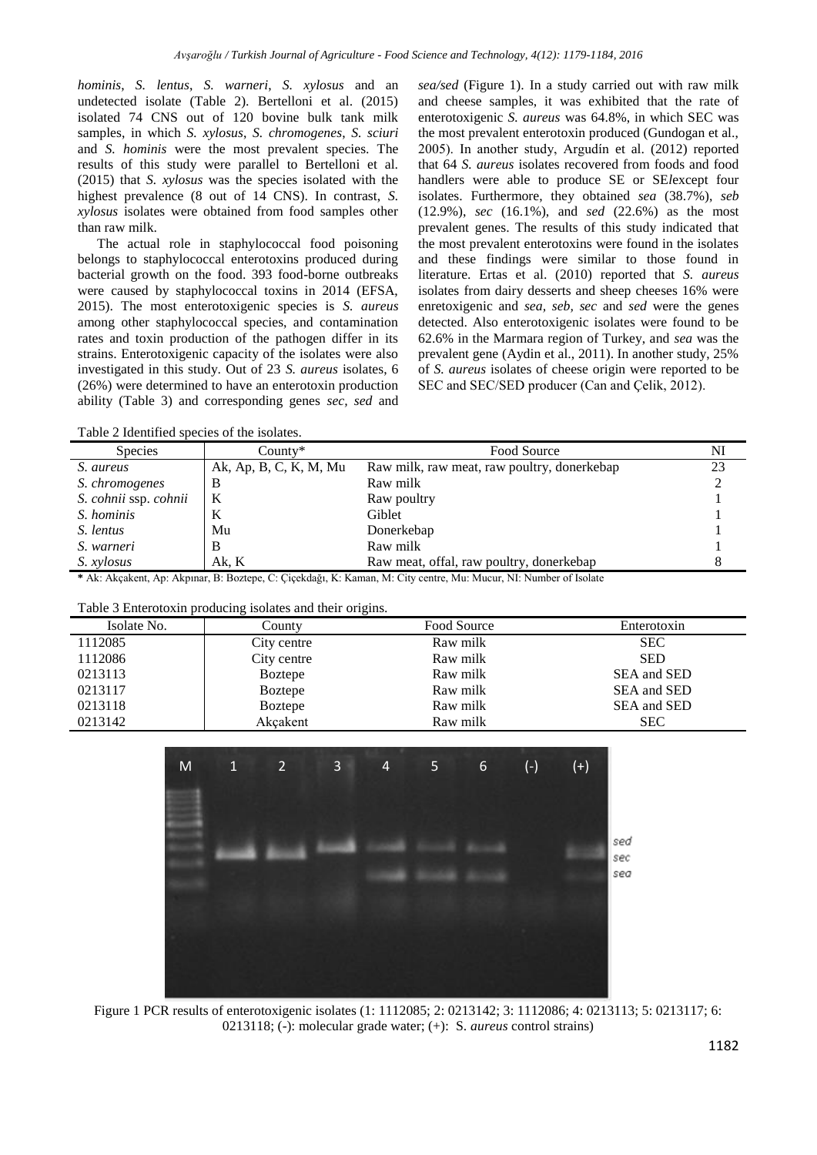*hominis*, *S. lentus*, *S. warneri*, *S. xylosus* and an undetected isolate (Table 2). Bertelloni et al. (2015) isolated 74 CNS out of 120 bovine bulk tank milk samples, in which *S. xylosus*, *S. chromogenes*, *S. sciuri*  and *S. hominis* were the most prevalent species. The results of this study were parallel to Bertelloni et al. (2015) that *S. xylosus* was the species isolated with the highest prevalence (8 out of 14 CNS). In contrast, *S. xylosus* isolates were obtained from food samples other than raw milk.

The actual role in staphylococcal food poisoning belongs to staphylococcal enterotoxins produced during bacterial growth on the food. 393 food-borne outbreaks were caused by staphylococcal toxins in 2014 (EFSA, 2015). The most enterotoxigenic species is *S. aureus* among other staphylococcal species, and contamination rates and toxin production of the pathogen differ in its strains. Enterotoxigenic capacity of the isolates were also investigated in this study. Out of 23 *S. aureus* isolates, 6 (26%) were determined to have an enterotoxin production ability (Table 3) and corresponding genes *sec, sed* and *sea/sed* (Figure 1). In a study carried out with raw milk and cheese samples, it was exhibited that the rate of enterotoxigenic *S. aureus* was 64.8%, in which SEC was the most prevalent enterotoxin produced (Gundogan et al., 2005). In another study, Argudín et al. (2012) reported that 64 *S. aureus* isolates recovered from foods and food handlers were able to produce SE or SE*l*except four isolates. Furthermore, they obtained *sea* (38.7%), *seb* (12.9%), *sec* (16.1%), and *sed* (22.6%) as the most prevalent genes. The results of this study indicated that the most prevalent enterotoxins were found in the isolates and these findings were similar to those found in literature. Ertas et al. (2010) reported that *S. aureus*  isolates from dairy desserts and sheep cheeses 16% were enretoxigenic and *sea, seb, sec* and *sed* were the genes detected. Also enterotoxigenic isolates were found to be 62.6% in the Marmara region of Turkey, and *sea* was the prevalent gene (Aydin et al., 2011). In another study, 25% of *S. aureus* isolates of cheese origin were reported to be SEC and SEC/SED producer (Can and Çelik, 2012).

Table 2 Identified species of the isolates.

| <b>Species</b>        | $Countv^*$             | Food Source                                 | NI |
|-----------------------|------------------------|---------------------------------------------|----|
| S. aureus             | Ak, Ap, B, C, K, M, Mu | Raw milk, raw meat, raw poultry, donerkebap | 23 |
| S. chromogenes        |                        | Raw milk                                    |    |
| S. cohnii ssp. cohnii | Κ                      | Raw poultry                                 |    |
| S. hominis            | K                      | Giblet                                      |    |
| S. lentus             | Mu                     | Donerkebap                                  |    |
| S. warneri            | B                      | Raw milk                                    |    |
| S. xylosus            | Ak, $K$                | Raw meat, offal, raw poultry, donerkebap    |    |

**\*** Ak: Akçakent, Ap: Akpınar, B: Boztepe, C: Çiçekdağı, K: Kaman, M: City centre, Mu: Mucur, NI: Number of Isolate

| Table 3 Enterotoxin producing isolates and their origins. |  |  |  |
|-----------------------------------------------------------|--|--|--|
|                                                           |  |  |  |

| Isolate No. | County         | Food Source | Enterotoxin |
|-------------|----------------|-------------|-------------|
| 1112085     | City centre    | Raw milk    | <b>SEC</b>  |
| 1112086     | City centre    | Raw milk    | <b>SED</b>  |
| 0213113     | <b>Boztepe</b> | Raw milk    | SEA and SED |
| 0213117     | <b>Boztepe</b> | Raw milk    | SEA and SED |
| 0213118     | <b>Boztepe</b> | Raw milk    | SEA and SED |
| 0213142     | Akcakent       | Raw milk    | <b>SEC</b>  |



Figure 1 PCR results of enterotoxigenic isolates (1: 1112085; 2: 0213142; 3: 1112086; 4: 0213113; 5: 0213117; 6: 0213118; (-): molecular grade water; (+): S. *aureus* control strains)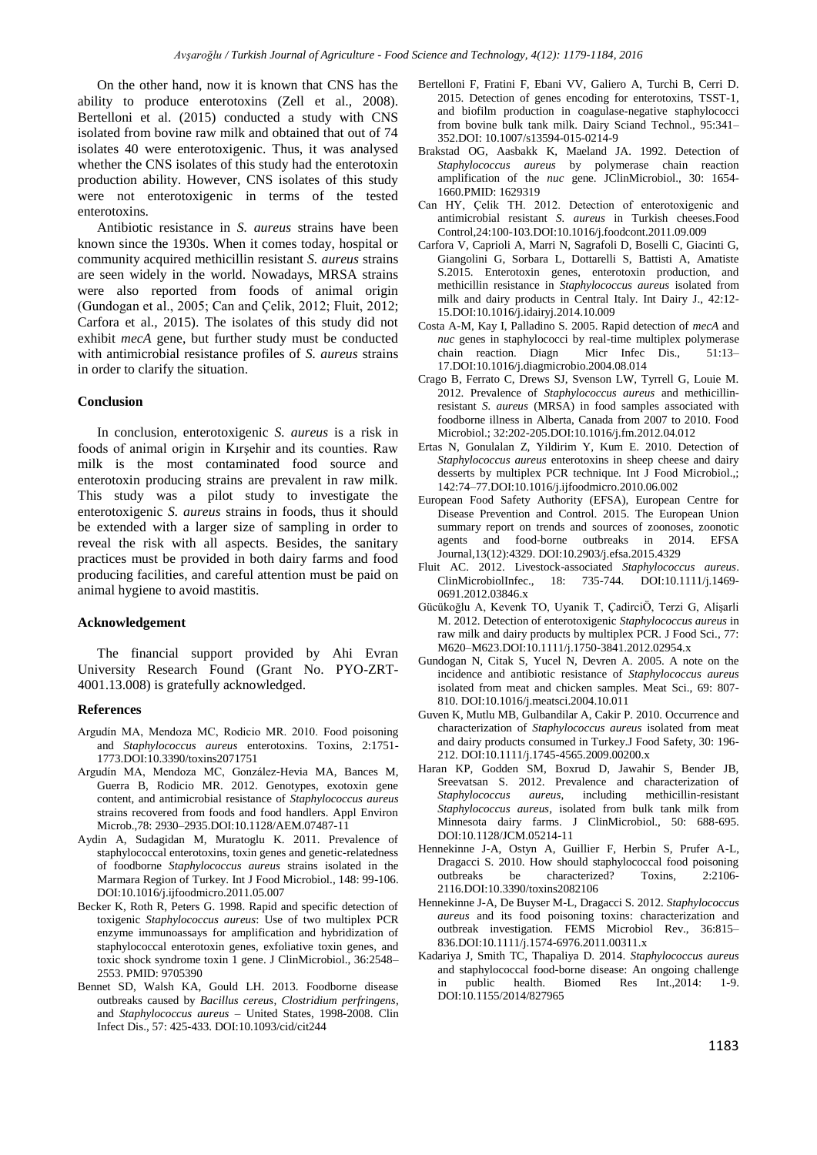On the other hand, now it is known that CNS has the ability to produce enterotoxins (Zell et al., 2008). Bertelloni et al. (2015) conducted a study with CNS isolated from bovine raw milk and obtained that out of 74 isolates 40 were enterotoxigenic. Thus, it was analysed whether the CNS isolates of this study had the enterotoxin production ability. However, CNS isolates of this study were not enterotoxigenic in terms of the tested enterotoxins.

Antibiotic resistance in *S. aureus* strains have been known since the 1930s. When it comes today, hospital or community acquired methicillin resistant *S. aureus* strains are seen widely in the world. Nowadays, MRSA strains were also reported from foods of animal origin (Gundogan et al., 2005; Can and Çelik, 2012; Fluit, 2012; Carfora et al., 2015). The isolates of this study did not exhibit *mecA* gene, but further study must be conducted with antimicrobial resistance profiles of *S. aureus* strains in order to clarify the situation.

#### **Conclusion**

In conclusion, enterotoxigenic *S. aureus* is a risk in foods of animal origin in Kırşehir and its counties. Raw milk is the most contaminated food source and enterotoxin producing strains are prevalent in raw milk. This study was a pilot study to investigate the enterotoxigenic *S. aureus* strains in foods, thus it should be extended with a larger size of sampling in order to reveal the risk with all aspects. Besides, the sanitary practices must be provided in both dairy farms and food producing facilities, and careful attention must be paid on animal hygiene to avoid mastitis.

#### **Acknowledgement**

The financial support provided by Ahi Evran University Research Found (Grant No. PYO-ZRT-4001.13.008) is gratefully acknowledged.

#### **References**

- Argudín MA, Mendoza MC, Rodicio MR. 2010. Food poisoning and *Staphylococcus aureus* enterotoxins. Toxins, 2:1751- 1773.DOI:10.3390/toxins2071751
- Argudín MA, Mendoza MC, González-Hevia MA, Bances M, Guerra B, Rodicio MR. 2012. Genotypes, exotoxin gene content, and antimicrobial resistance of *Staphylococcus aureus* strains recovered from foods and food handlers. Appl Environ Microb.,78: 2930–2935.DOI:10.1128/AEM.07487-11
- Aydin A, Sudagidan M, Muratoglu K. 2011. Prevalence of staphylococcal enterotoxins, toxin genes and genetic-relatedness of foodborne *Staphylococcus aureus* strains isolated in the Marmara Region of Turkey. Int J Food Microbiol., 148: 99-106. DOI:10.1016/j.ijfoodmicro.2011.05.007
- Becker K, Roth R, Peters G. 1998. Rapid and specific detection of toxigenic *Staphylococcus aureus*: Use of two multiplex PCR enzyme immunoassays for amplification and hybridization of staphylococcal enterotoxin genes, exfoliative toxin genes, and toxic shock syndrome toxin 1 gene. J ClinMicrobiol., 36:2548– 2553. PMID: 9705390
- Bennet SD, Walsh KA, Gould LH. 2013. Foodborne disease outbreaks caused by *Bacillus cereus*, *Clostridium perfringens*, and *Staphylococcus aureus* – United States, 1998-2008. Clin Infect Dis., 57: 425-433. DOI:10.1093/cid/cit244
- Bertelloni F, Fratini F, Ebani VV, Galiero A, Turchi B, Cerri D. 2015. Detection of genes encoding for enterotoxins, TSST-1, and biofilm production in coagulase-negative staphylococci from bovine bulk tank milk. Dairy Sciand Technol., 95:341– 352.DOI: 10.1007/s13594-015-0214-9
- Brakstad OG, Aasbakk K, Maeland JA. 1992. Detection of *Staphylococcus aureus* by polymerase chain reaction amplification of the *nuc* gene. JClinMicrobiol., 30: 1654- 1660.PMID: 1629319
- Can HY, Çelik TH. 2012. Detection of enterotoxigenic and antimicrobial resistant *S. aureus* in Turkish cheeses.Food Control,24:100-103.DOI:10.1016/j.foodcont.2011.09.009
- Carfora V, Caprioli A, Marri N, Sagrafoli D, Boselli C, Giacinti G, Giangolini G, Sorbara L, Dottarelli S, Battisti A, Amatiste S.2015. Enterotoxin genes, enterotoxin production, and methicillin resistance in *Staphylococcus aureus* isolated from milk and dairy products in Central Italy. Int Dairy J., 42:12- 15.DOI:10.1016/j.idairyj.2014.10.009
- Costa A-M, Kay I, Palladino S. 2005. Rapid detection of *mecA* and *nuc* genes in staphylococci by real-time multiplex polymerase chain reaction. Diagn Micr Infec Dis., 51:13– 17.DOI:10.1016/j.diagmicrobio.2004.08.014
- Crago B, Ferrato C, Drews SJ, Svenson LW, Tyrrell G, Louie M. 2012. Prevalence of *Staphylococcus aureus* and methicillinresistant *S. aureus* (MRSA) in food samples associated with foodborne illness in Alberta, Canada from 2007 to 2010. Food Microbiol.; 32:202-205.DOI:10.1016/j.fm.2012.04.012
- Ertas N, Gonulalan Z, Yildirim Y, Kum E. 2010. Detection of *Staphylococcus aureus* enterotoxins in sheep cheese and dairy desserts by multiplex PCR technique. Int J Food Microbiol.,; 142:74–77.DOI:10.1016/j.ijfoodmicro.2010.06.002
- European Food Safety Authority (EFSA), European Centre for Disease Prevention and Control. 2015. The European Union summary report on trends and sources of zoonoses, zoonotic agents and food-borne outbreaks in 2014. EFSA Journal,13(12):4329. DOI:10.2903/j.efsa.2015.4329
- Fluit AC. 2012. Livestock-associated *Staphylococcus aureus*. ClinMicrobiolInfec., 18: 735-744. DOI:10.1111/j.1469- 0691.2012.03846.x
- Gücükoğlu A, Kevenk TO, Uyanik T, ÇadirciÖ, Terzi G, Alişarli M. 2012. Detection of enterotoxigenic *Staphylococcus aureus* in raw milk and dairy products by multiplex PCR. J Food Sci., 77: M620–M623.DOI:10.1111/j.1750-3841.2012.02954.x
- Gundogan N, Citak S, Yucel N, Devren A. 2005. A note on the incidence and antibiotic resistance of *Staphylococcus aureus*  isolated from meat and chicken samples. Meat Sci., 69: 807- 810. DOI:10.1016/j.meatsci.2004.10.011
- Guven K, Mutlu MB, Gulbandilar A, Cakir P. 2010. Occurrence and characterization of *Staphylococcus aureus* isolated from meat and dairy products consumed in Turkey.J Food Safety, 30: 196- 212. DOI:10.1111/j.1745-4565.2009.00200.x
- Haran KP, Godden SM, Boxrud D, Jawahir S, Bender JB, Sreevatsan S. 2012. Prevalence and characterization of *Staphylococcus aureus*, including methicillin-resistant *Staphylococcus aureus*, isolated from bulk tank milk from Minnesota dairy farms. J ClinMicrobiol., 50: 688-695. DOI:10.1128/JCM.05214-11
- Hennekinne J-A, Ostyn A, Guillier F, Herbin S, Prufer A-L, Dragacci S. 2010. How should staphylococcal food poisoning outbreaks be characterized? Toxins, 2:2106- 2116.DOI:10.3390/toxins2082106
- Hennekinne J-A, De Buyser M-L, Dragacci S. 2012. *Staphylococcus aureus* and its food poisoning toxins: characterization and outbreak investigation. FEMS Microbiol Rev., 36:815– 836.DOI:10.1111/j.1574-6976.2011.00311.x
- Kadariya J, Smith TC, Thapaliya D. 2014. *Staphylococcus aureus*  and staphylococcal food-borne disease: An ongoing challenge in public health. Biomed Res Int.,2014: 1-9. DOI:10.1155/2014/827965